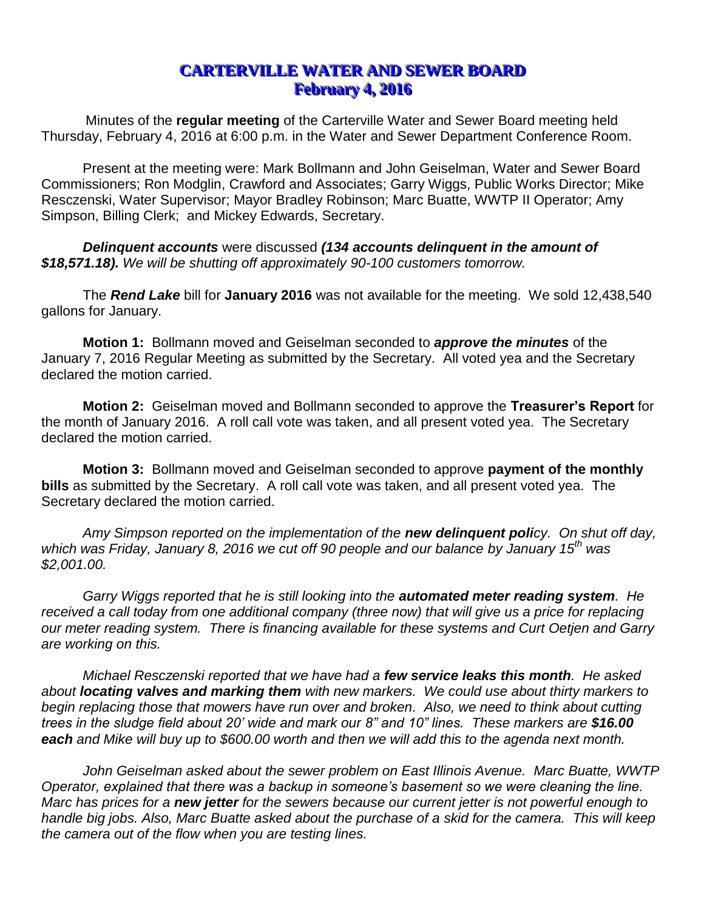## **CARTERVILLE WATER AND SEWER BOARD February 4, 2016**

Minutes of the **regular meeting** of the Carterville Water and Sewer Board meeting held Thursday, February 4, 2016 at 6:00 p.m. in the Water and Sewer Department Conference Room.

Present at the meeting were: Mark Bollmann and John Geiselman, Water and Sewer Board Commissioners; Ron Modglin, Crawford and Associates; Garry Wiggs, Public Works Director; Mike Resczenski, Water Supervisor; Mayor Bradley Robinson; Marc Buatte, WWTP II Operator; Amy Simpson, Billing Clerk; and Mickey Edwards, Secretary.

*Delinquent accounts* were discussed *(134 accounts delinquent in the amount of \$18,571.18). We will be shutting off approximately 90-100 customers tomorrow.*

The *Rend Lake* bill for **January 2016** was not available for the meeting. We sold 12,438,540 gallons for January.

**Motion 1:** Bollmann moved and Geiselman seconded to *approve the minutes* of the January 7, 2016 Regular Meeting as submitted by the Secretary. All voted yea and the Secretary declared the motion carried.

**Motion 2:** Geiselman moved and Bollmann seconded to approve the **Treasurer's Report** for the month of January 2016. A roll call vote was taken, and all present voted yea. The Secretary declared the motion carried.

**Motion 3:** Bollmann moved and Geiselman seconded to approve **payment of the monthly bills** as submitted by the Secretary. A roll call vote was taken, and all present voted yea. The Secretary declared the motion carried.

*Amy Simpson reported on the implementation of the new delinquent policy. On shut off day, which was Friday, January 8, 2016 we cut off 90 people and our balance by January 15th was \$2,001.00.* 

*Garry Wiggs reported that he is still looking into the automated meter reading system. He*  received a call today from one additional company (three now) that will give us a price for replacing *our meter reading system. There is financing available for these systems and Curt Oetjen and Garry are working on this.*

*Michael Resczenski reported that we have had a few service leaks this month. He asked about locating valves and marking them with new markers. We could use about thirty markers to*  begin replacing those that mowers have run over and broken. Also, we need to think about cutting *trees in the sludge field about 20' wide and mark our 8" and 10" lines. These markers are \$16.00 each and Mike will buy up to \$600.00 worth and then we will add this to the agenda next month.*

*John Geiselman asked about the sewer problem on East Illinois Avenue. Marc Buatte, WWTP Operator, explained that there was a backup in someone's basement so we were cleaning the line. Marc has prices for a new jetter for the sewers because our current jetter is not powerful enough to handle big jobs. Also, Marc Buatte asked about the purchase of a skid for the camera. This will keep the camera out of the flow when you are testing lines.*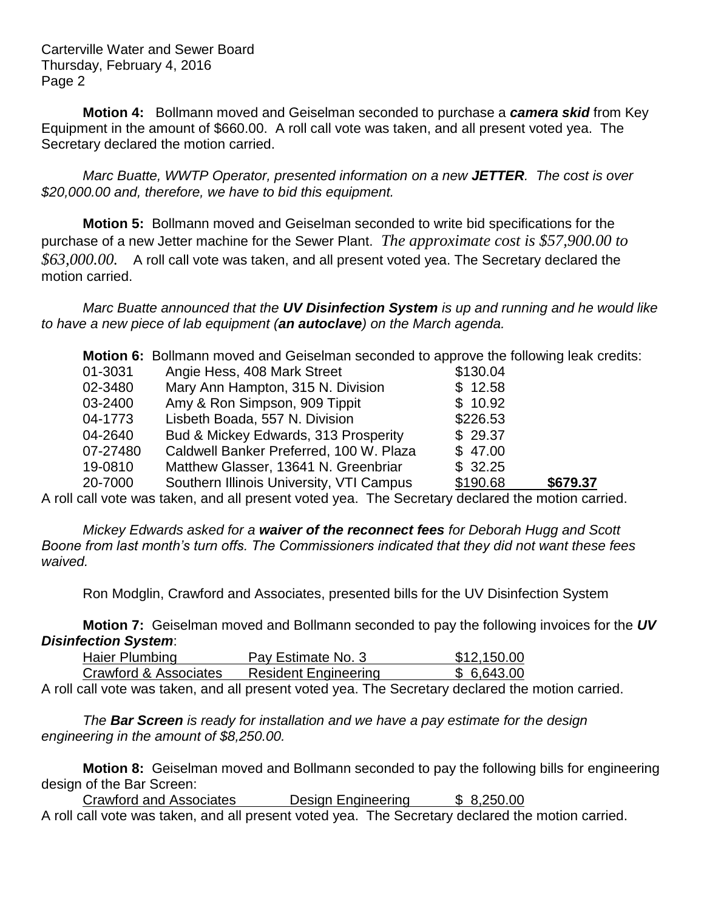Carterville Water and Sewer Board Thursday, February 4, 2016 Page 2

**Motion 4:** Bollmann moved and Geiselman seconded to purchase a *camera skid* from Key Equipment in the amount of \$660.00. A roll call vote was taken, and all present voted yea. The Secretary declared the motion carried.

*Marc Buatte, WWTP Operator, presented information on a new JETTER. The cost is over \$20,000.00 and, therefore, we have to bid this equipment.* 

**Motion 5:** Bollmann moved and Geiselman seconded to write bid specifications for the purchase of a new Jetter machine for the Sewer Plant. *The approximate cost is \$57,900.00 to \$63,000.00.* A roll call vote was taken, and all present voted yea. The Secretary declared the motion carried.

*Marc Buatte announced that the UV Disinfection System is up and running and he would like to have a new piece of lab equipment (an autoclave) on the March agenda.* 

|                                                                                                   | <b>Motion 6:</b> Bollmann moved and Geiselman seconded to approve the following leak credits: |          |          |  |
|---------------------------------------------------------------------------------------------------|-----------------------------------------------------------------------------------------------|----------|----------|--|
| 01-3031                                                                                           | Angie Hess, 408 Mark Street                                                                   | \$130.04 |          |  |
| 02-3480                                                                                           | Mary Ann Hampton, 315 N. Division                                                             | \$12.58  |          |  |
| 03-2400                                                                                           | Amy & Ron Simpson, 909 Tippit                                                                 | \$10.92  |          |  |
| 04-1773                                                                                           | Lisbeth Boada, 557 N. Division                                                                | \$226.53 |          |  |
| 04-2640                                                                                           | Bud & Mickey Edwards, 313 Prosperity                                                          | \$29.37  |          |  |
| 07-27480                                                                                          | Caldwell Banker Preferred, 100 W. Plaza                                                       | \$47.00  |          |  |
| 19-0810                                                                                           | Matthew Glasser, 13641 N. Greenbriar                                                          | \$32.25  |          |  |
| 20-7000                                                                                           | Southern Illinois University, VTI Campus                                                      | \$190.68 | \$679.37 |  |
| relly unto used also per and all presented under the Center dealerships period the method angular |                                                                                               |          |          |  |

A roll call vote was taken, and all present voted yea. The Secretary declared the motion carried.

*Mickey Edwards asked for a waiver of the reconnect fees for Deborah Hugg and Scott Boone from last month's turn offs. The Commissioners indicated that they did not want these fees waived.*

Ron Modglin, Crawford and Associates, presented bills for the UV Disinfection System

**Motion 7:** Geiselman moved and Bollmann seconded to pay the following invoices for the *UV Disinfection System*:

| Haier Plumbing        | Pay Estimate No. 3          | \$12,150.00 |
|-----------------------|-----------------------------|-------------|
| Crawford & Associates | <b>Resident Engineering</b> | \$6.643.00  |

A roll call vote was taken, and all present voted yea. The Secretary declared the motion carried.

*The Bar Screen is ready for installation and we have a pay estimate for the design engineering in the amount of \$8,250.00.*

**Motion 8:** Geiselman moved and Bollmann seconded to pay the following bills for engineering design of the Bar Screen:

Crawford and Associates **Design Engineering** \$ 8,250.00 A roll call vote was taken, and all present voted yea. The Secretary declared the motion carried.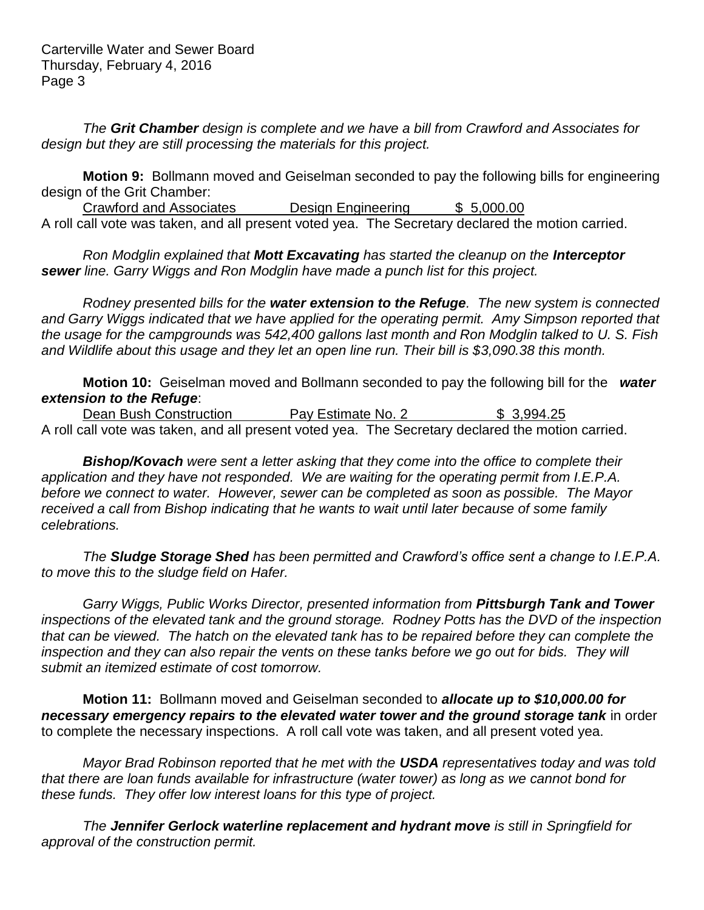*The Grit Chamber design is complete and we have a bill from Crawford and Associates for design but they are still processing the materials for this project.*

**Motion 9:** Bollmann moved and Geiselman seconded to pay the following bills for engineering design of the Grit Chamber:

Crawford and Associates Design Engineering \$ 5,000.00 A roll call vote was taken, and all present voted yea. The Secretary declared the motion carried.

*Ron Modglin explained that Mott Excavating has started the cleanup on the Interceptor sewer line. Garry Wiggs and Ron Modglin have made a punch list for this project.*

*Rodney presented bills for the water extension to the Refuge. The new system is connected*  and Garry Wiggs indicated that we have applied for the operating permit. Amy Simpson reported that *the usage for the campgrounds was 542,400 gallons last month and Ron Modglin talked to U. S. Fish and Wildlife about this usage and they let an open line run. Their bill is \$3,090.38 this month.*

**Motion 10:** Geiselman moved and Bollmann seconded to pay the following bill for the *water extension to the Refuge*:

Dean Bush Construction **Pay Estimate No. 2** \$ 3,994.25 A roll call vote was taken, and all present voted yea. The Secretary declared the motion carried.

*Bishop/Kovach were sent a letter asking that they come into the office to complete their application and they have not responded. We are waiting for the operating permit from I.E.P.A. before we connect to water. However, sewer can be completed as soon as possible. The Mayor received a call from Bishop indicating that he wants to wait until later because of some family celebrations.*

*The Sludge Storage Shed has been permitted and Crawford's office sent a change to I.E.P.A. to move this to the sludge field on Hafer.*

*Garry Wiggs, Public Works Director, presented information from Pittsburgh Tank and Tower inspections of the elevated tank and the ground storage. Rodney Potts has the DVD of the inspection that can be viewed. The hatch on the elevated tank has to be repaired before they can complete the inspection and they can also repair the vents on these tanks before we go out for bids. They will submit an itemized estimate of cost tomorrow.* 

**Motion 11:** Bollmann moved and Geiselman seconded to *allocate up to \$10,000.00 for necessary emergency repairs to the elevated water tower and the ground storage tank* in order to complete the necessary inspections. A roll call vote was taken, and all present voted yea.

*Mayor Brad Robinson reported that he met with the USDA representatives today and was told that there are loan funds available for infrastructure (water tower) as long as we cannot bond for these funds. They offer low interest loans for this type of project.*

*The Jennifer Gerlock waterline replacement and hydrant move is still in Springfield for approval of the construction permit.*